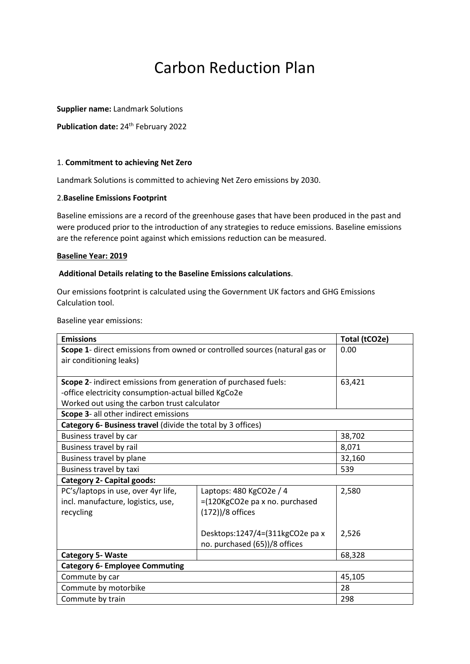# Carbon Reduction Plan

**Supplier name:** Landmark Solutions

**Publication date:** 24<sup>th</sup> February 2022

## 1. **Commitment to achieving Net Zero**

Landmark Solutions is committed to achieving Net Zero emissions by 2030.

#### 2.**Baseline Emissions Footprint**

Baseline emissions are a record of the greenhouse gases that have been produced in the past and were produced prior to the introduction of any strategies to reduce emissions. Baseline emissions are the reference point against which emissions reduction can be measured.

#### **Baseline Year: 2019**

#### **Additional Details relating to the Baseline Emissions calculations**.

Our emissions footprint is calculated using the Government UK factors and GHG Emissions Calculation tool.

Baseline year emissions:

| <b>Emissions</b>                                                           |                                 | Total (tCO2e) |  |  |
|----------------------------------------------------------------------------|---------------------------------|---------------|--|--|
| Scope 1- direct emissions from owned or controlled sources (natural gas or |                                 | 0.00          |  |  |
| air conditioning leaks)                                                    |                                 |               |  |  |
|                                                                            |                                 |               |  |  |
| Scope 2- indirect emissions from generation of purchased fuels:            |                                 | 63,421        |  |  |
| -office electricity consumption-actual billed KgCo2e                       |                                 |               |  |  |
| Worked out using the carbon trust calculator                               |                                 |               |  |  |
| Scope 3- all other indirect emissions                                      |                                 |               |  |  |
| Category 6- Business travel (divide the total by 3 offices)                |                                 |               |  |  |
| Business travel by car                                                     |                                 | 38,702        |  |  |
| Business travel by rail                                                    |                                 | 8,071         |  |  |
| Business travel by plane                                                   |                                 | 32,160        |  |  |
| Business travel by taxi                                                    |                                 | 539           |  |  |
| <b>Category 2- Capital goods:</b>                                          |                                 |               |  |  |
| PC's/laptops in use, over 4yr life,                                        | Laptops: 480 KgCO2e / 4         | 2,580         |  |  |
| incl. manufacture, logistics, use,                                         | =(120KgCO2e pa x no. purchased  |               |  |  |
| recycling                                                                  | (172))/8 offices                |               |  |  |
|                                                                            |                                 |               |  |  |
|                                                                            | Desktops:1247/4=(311kgCO2e pa x | 2,526         |  |  |
|                                                                            | no. purchased (65))/8 offices   |               |  |  |
| <b>Category 5- Waste</b>                                                   |                                 | 68,328        |  |  |
| <b>Category 6- Employee Commuting</b>                                      |                                 |               |  |  |
| Commute by car                                                             |                                 | 45,105        |  |  |
| Commute by motorbike                                                       |                                 | 28            |  |  |
| Commute by train                                                           |                                 | 298           |  |  |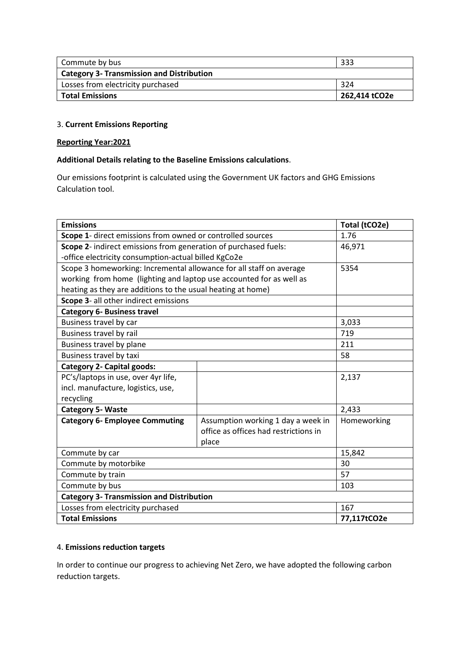| <b>Total Emissions</b>                           | 262,414 tCO2e |  |
|--------------------------------------------------|---------------|--|
| Losses from electricity purchased                | 324           |  |
| <b>Category 3- Transmission and Distribution</b> |               |  |
| Commute by bus                                   | 333           |  |

## 3. **Current Emissions Reporting**

#### **Reporting Year:2021**

## **Additional Details relating to the Baseline Emissions calculations**.

Our emissions footprint is calculated using the Government UK factors and GHG Emissions Calculation tool.

| <b>Emissions</b>                                                    |                                       | Total (tCO2e) |  |
|---------------------------------------------------------------------|---------------------------------------|---------------|--|
| Scope 1- direct emissions from owned or controlled sources          |                                       | 1.76          |  |
| Scope 2- indirect emissions from generation of purchased fuels:     |                                       | 46,971        |  |
| -office electricity consumption-actual billed KgCo2e                |                                       |               |  |
| Scope 3 homeworking: Incremental allowance for all staff on average |                                       | 5354          |  |
| working from home (lighting and laptop use accounted for as well as |                                       |               |  |
| heating as they are additions to the usual heating at home)         |                                       |               |  |
| Scope 3- all other indirect emissions                               |                                       |               |  |
| <b>Category 6- Business travel</b>                                  |                                       |               |  |
| Business travel by car                                              |                                       | 3,033         |  |
| Business travel by rail                                             |                                       | 719           |  |
| Business travel by plane                                            |                                       | 211           |  |
| Business travel by taxi                                             |                                       | 58            |  |
| <b>Category 2- Capital goods:</b>                                   |                                       |               |  |
| PC's/laptops in use, over 4yr life,                                 |                                       | 2,137         |  |
| incl. manufacture, logistics, use,                                  |                                       |               |  |
| recycling                                                           |                                       |               |  |
| <b>Category 5- Waste</b>                                            |                                       | 2,433         |  |
| <b>Category 6- Employee Commuting</b>                               | Assumption working 1 day a week in    | Homeworking   |  |
|                                                                     | office as offices had restrictions in |               |  |
|                                                                     | place                                 |               |  |
| Commute by car                                                      |                                       | 15,842        |  |
| Commute by motorbike                                                |                                       | 30            |  |
| Commute by train                                                    |                                       | 57            |  |
| Commute by bus                                                      |                                       | 103           |  |
| <b>Category 3- Transmission and Distribution</b>                    |                                       |               |  |
| Losses from electricity purchased                                   |                                       | 167           |  |
| <b>Total Emissions</b>                                              |                                       | 77,117tCO2e   |  |

## 4. **Emissions reduction targets**

In order to continue our progress to achieving Net Zero, we have adopted the following carbon reduction targets.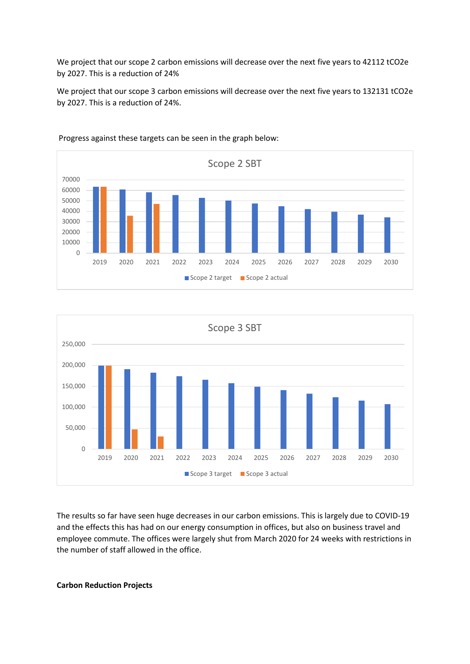We project that our scope 2 carbon emissions will decrease over the next five years to 42112 tCO2e by 2027. This is a reduction of 24%

We project that our scope 3 carbon emissions will decrease over the next five years to 132131 tCO2e by 2027. This is a reduction of 24%.



Progress against these targets can be seen in the graph below:



The results so far have seen huge decreases in our carbon emissions. This is largely due to COVID-19 and the effects this has had on our energy consumption in offices, but also on business travel and employee commute. The offices were largely shut from March 2020 for 24 weeks with restrictions in the number of staff allowed in the office.

#### **Carbon Reduction Projects**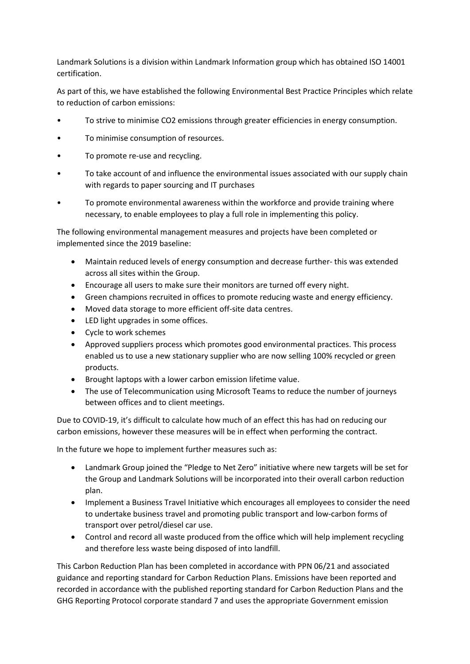Landmark Solutions is a division within Landmark Information group which has obtained ISO 14001 certification.

As part of this, we have established the following Environmental Best Practice Principles which relate to reduction of carbon emissions:

- To strive to minimise CO2 emissions through greater efficiencies in energy consumption.
- To minimise consumption of resources.
- To promote re-use and recycling.
- To take account of and influence the environmental issues associated with our supply chain with regards to paper sourcing and IT purchases
- To promote environmental awareness within the workforce and provide training where necessary, to enable employees to play a full role in implementing this policy.

The following environmental management measures and projects have been completed or implemented since the 2019 baseline:

- Maintain reduced levels of energy consumption and decrease further- this was extended across all sites within the Group.
- Encourage all users to make sure their monitors are turned off every night.
- Green champions recruited in offices to promote reducing waste and energy efficiency.
- Moved data storage to more efficient off-site data centres.
- LED light upgrades in some offices.
- Cycle to work schemes
- Approved suppliers process which promotes good environmental practices. This process enabled us to use a new stationary supplier who are now selling 100% recycled or green products.
- Brought laptops with a lower carbon emission lifetime value.
- The use of Telecommunication using Microsoft Teams to reduce the number of journeys between offices and to client meetings.

Due to COVID-19, it's difficult to calculate how much of an effect this has had on reducing our carbon emissions, however these measures will be in effect when performing the contract.

In the future we hope to implement further measures such as:

- Landmark Group joined the "Pledge to Net Zero" initiative where new targets will be set for the Group and Landmark Solutions will be incorporated into their overall carbon reduction plan.
- Implement a Business Travel Initiative which encourages all employees to consider the need to undertake business travel and promoting public transport and low-carbon forms of transport over petrol/diesel car use.
- Control and record all waste produced from the office which will help implement recycling and therefore less waste being disposed of into landfill.

This Carbon Reduction Plan has been completed in accordance with PPN 06/21 and associated guidance and reporting standard for Carbon Reduction Plans. Emissions have been reported and recorded in accordance with the published reporting standard for Carbon Reduction Plans and the GHG Reporting Protocol corporate standard 7 and uses the appropriate Government emission